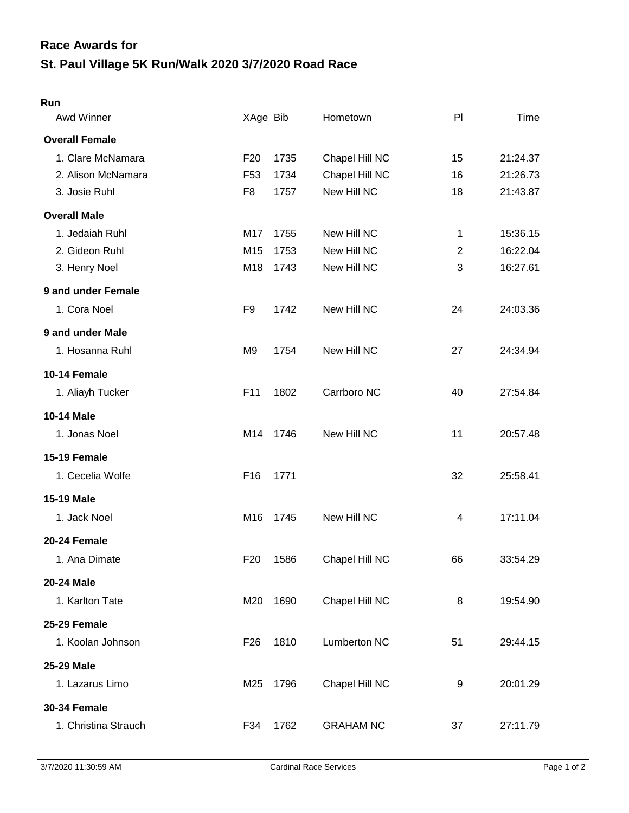## **St. Paul Village 5K Run/Walk 2020 3/7/2020 Road Race Race Awards for**

## **Run**

| Awd Winner            | XAge Bib        |      | Hometown            | PI             | <b>Time</b> |
|-----------------------|-----------------|------|---------------------|----------------|-------------|
| <b>Overall Female</b> |                 |      |                     |                |             |
| 1. Clare McNamara     | F <sub>20</sub> | 1735 | Chapel Hill NC      | 15             | 21:24.37    |
| 2. Alison McNamara    | F <sub>53</sub> | 1734 | Chapel Hill NC      | 16             | 21:26.73    |
| 3. Josie Ruhl         | F <sub>8</sub>  | 1757 | New Hill NC         | 18             | 21:43.87    |
| <b>Overall Male</b>   |                 |      |                     |                |             |
| 1. Jedaiah Ruhl       | M17             | 1755 | New Hill NC         | $\mathbf 1$    | 15:36.15    |
| 2. Gideon Ruhl        | M15             | 1753 | New Hill NC         | $\overline{2}$ | 16:22.04    |
| 3. Henry Noel         | M18             | 1743 | New Hill NC         | 3              | 16:27.61    |
| 9 and under Female    |                 |      |                     |                |             |
| 1. Cora Noel          | F <sub>9</sub>  | 1742 | New Hill NC         | 24             | 24:03.36    |
| 9 and under Male      |                 |      |                     |                |             |
| 1. Hosanna Ruhl       | M <sub>9</sub>  | 1754 | New Hill NC         | 27             | 24:34.94    |
| 10-14 Female          |                 |      |                     |                |             |
| 1. Aliayh Tucker      | F <sub>11</sub> | 1802 | Carrboro NC         | 40             | 27:54.84    |
| 10-14 Male            |                 |      |                     |                |             |
| 1. Jonas Noel         | M14             | 1746 | New Hill NC         | 11             | 20:57.48    |
| 15-19 Female          |                 |      |                     |                |             |
| 1. Cecelia Wolfe      | F <sub>16</sub> | 1771 |                     | 32             | 25:58.41    |
| <b>15-19 Male</b>     |                 |      |                     |                |             |
| 1. Jack Noel          | M16             | 1745 | New Hill NC         | 4              | 17:11.04    |
| 20-24 Female          |                 |      |                     |                |             |
| 1. Ana Dimate         | F <sub>20</sub> | 1586 | Chapel Hill NC      | 66             | 33:54.29    |
| 20-24 Male            |                 |      |                     |                |             |
| 1. Karlton Tate       | M20             | 1690 | Chapel Hill NC      | 8              | 19:54.90    |
| 25-29 Female          |                 |      |                     |                |             |
| 1. Koolan Johnson     | F <sub>26</sub> | 1810 | <b>Lumberton NC</b> | 51             | 29:44.15    |
| <b>25-29 Male</b>     |                 |      |                     |                |             |
| 1. Lazarus Limo       | M25             | 1796 | Chapel Hill NC      | 9              | 20:01.29    |
| <b>30-34 Female</b>   |                 |      |                     |                |             |
| 1. Christina Strauch  | F34             | 1762 | <b>GRAHAM NC</b>    | 37             | 27:11.79    |
|                       |                 |      |                     |                |             |